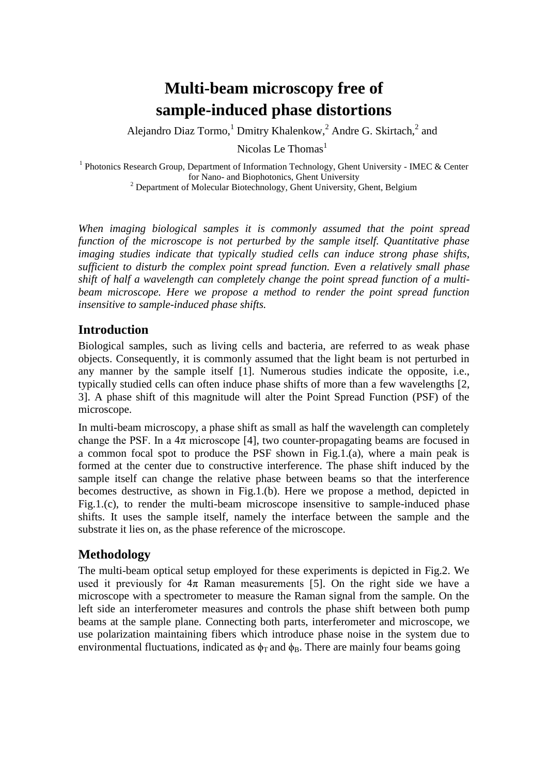# **Multi-beam microscopy free of sample-induced phase distortions**

Alejandro Diaz Tormo,<sup>1</sup> Dmitry Khalenkow,<sup>2</sup> Andre G. Skirtach,<sup>2</sup> and

Nicolas Le Thomas<sup>1</sup>

<sup>1</sup> Photonics Research Group, Department of Information Technology, Ghent University - IMEC & Center for Nano- and Biophotonics, Ghent University

<sup>2</sup> Department of Molecular Biotechnology, Ghent University, Ghent, Belgium

*When imaging biological samples it is commonly assumed that the point spread function of the microscope is not perturbed by the sample itself. Quantitative phase imaging studies indicate that typically studied cells can induce strong phase shifts, sufficient to disturb the complex point spread function. Even a relatively small phase shift of half a wavelength can completely change the point spread function of a multibeam microscope. Here we propose a method to render the point spread function insensitive to sample-induced phase shifts.*

### **Introduction**

Biological samples, such as living cells and bacteria, are referred to as weak phase objects. Consequently, it is commonly assumed that the light beam is not perturbed in any manner by the sample itself [1]. Numerous studies indicate the opposite, i.e., typically studied cells can often induce phase shifts of more than a few wavelengths [2, 3]. A phase shift of this magnitude will alter the Point Spread Function (PSF) of the microscope.

In multi-beam microscopy, a phase shift as small as half the wavelength can completely change the PSF. In a  $4\pi$  microscope [4], two counter-propagating beams are focused in a common focal spot to produce the PSF shown in Fig.1.(a), where a main peak is formed at the center due to constructive interference. The phase shift induced by the sample itself can change the relative phase between beams so that the interference becomes destructive, as shown in Fig.1.(b). Here we propose a method, depicted in Fig.1.(c), to render the multi-beam microscope insensitive to sample-induced phase shifts. It uses the sample itself, namely the interface between the sample and the substrate it lies on, as the phase reference of the microscope.

## **Methodology**

The multi-beam optical setup employed for these experiments is depicted in Fig.2. We used it previously for  $4\pi$  Raman measurements [5]. On the right side we have a microscope with a spectrometer to measure the Raman signal from the sample. On the left side an interferometer measures and controls the phase shift between both pump beams at the sample plane. Connecting both parts, interferometer and microscope, we use polarization maintaining fibers which introduce phase noise in the system due to environmental fluctuations, indicated as  $\phi_T$  and  $\phi_B$ . There are mainly four beams going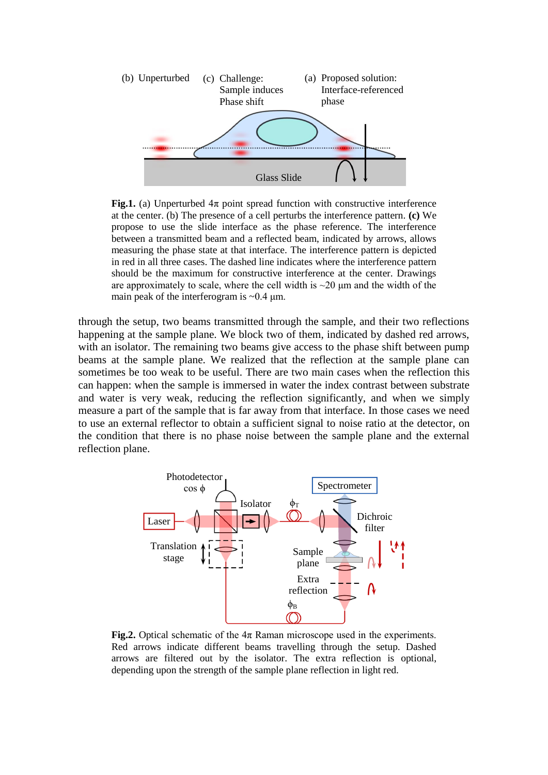

**Fig.1.** (a) Unperturbed  $4\pi$  point spread function with constructive interference at the center. (b) The presence of a cell perturbs the interference pattern. **(c)** We propose to use the slide interface as the phase reference. The interference between a transmitted beam and a reflected beam, indicated by arrows, allows measuring the phase state at that interface. The interference pattern is depicted in red in all three cases. The dashed line indicates where the interference pattern should be the maximum for constructive interference at the center. Drawings are approximately to scale, where the cell width is  $\sim$ 20  $\mu$ m and the width of the main peak of the interferogram is  $\sim 0.4$  µm.

through the setup, two beams transmitted through the sample, and their two reflections happening at the sample plane. We block two of them, indicated by dashed red arrows, with an isolator. The remaining two beams give access to the phase shift between pump beams at the sample plane. We realized that the reflection at the sample plane can sometimes be too weak to be useful. There are two main cases when the reflection this can happen: when the sample is immersed in water the index contrast between substrate and water is very weak, reducing the reflection significantly, and when we simply measure a part of the sample that is far away from that interface. In those cases we need to use an external reflector to obtain a sufficient signal to noise ratio at the detector, on the condition that there is no phase noise between the sample plane and the external reflection plane.



**Fig.2.** Optical schematic of the  $4\pi$  Raman microscope used in the experiments. Red arrows indicate different beams travelling through the setup. Dashed arrows are filtered out by the isolator. The extra reflection is optional, depending upon the strength of the sample plane reflection in light red.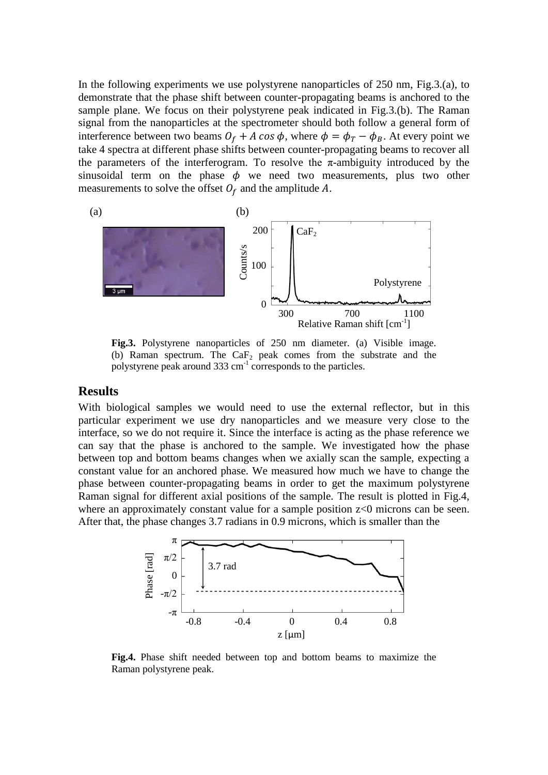In the following experiments we use polystyrene nanoparticles of 250 nm, Fig.3.(a), to demonstrate that the phase shift between counter-propagating beams is anchored to the sample plane. We focus on their polystyrene peak indicated in Fig.3.(b). The Raman signal from the nanoparticles at the spectrometer should both follow a general form of interference between two beams  $\theta_f + A \cos \phi$ , where  $\phi = \phi_T - \phi_B$ . At every point we take 4 spectra at different phase shifts between counter-propagating beams to recover all the parameters of the interferogram. To resolve the  $\pi$ -ambiguity introduced by the sinusoidal term on the phase  $\phi$  we need two measurements, plus two other measurements to solve the offset  $O_f$  and the amplitude A.



Fig.3. Polystyrene nanoparticles of 250 nm diameter. (a) Visible image. (b) Raman spectrum. The CaF<sub>2</sub> peak comes from the substrate and the polystyrene peak around  $333 \text{ cm}^{-1}$  corresponds to the particles.

#### **Results**

With biological samples we would need to use the external reflector, but in this particular experiment we use dry nanoparticles and we measure very close to the interface, so we do not require it. Since the interface is acting as the phase reference we can say that the phase is anchored to the sample. We investigated how the phase between top and bottom beams changes when we axially scan the sample, expecting a constant value for an anchored phase. We measured how much we have to change the phase between counter-propagating beams in order to get the maximum polystyrene Raman signal for different axial positions of the sample. The result is plotted in Fig.4, where an approximately constant value for a sample position  $z<0$  microns can be seen. After that, the phase changes 3.7 radians in 0.9 microns, which is smaller than the



**Fig.4.** Phase shift needed between top and bottom beams to maximize the Raman polystyrene peak.